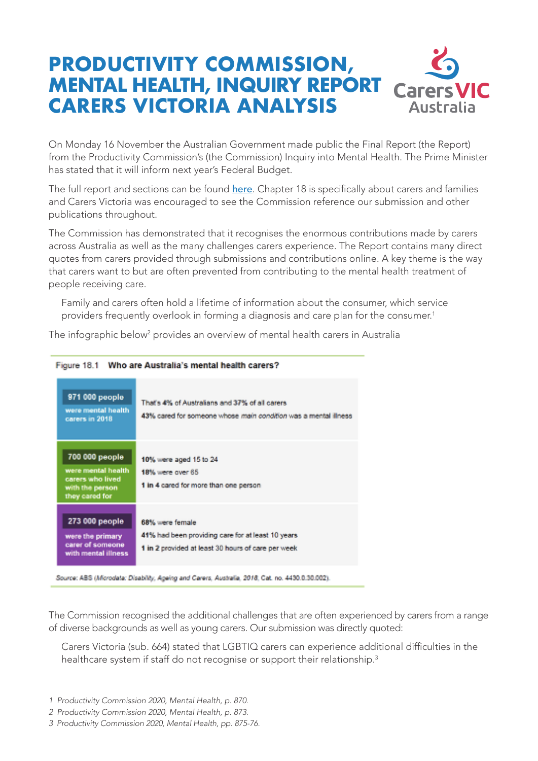## **PRODUCTIVITY COMMISSION, MENTAL HEALTH, INQUIRY REPORT Carers VIC CARERS VICTORIA ANALYSIS Australia**

On Monday 16 November the Australian Government made public the Final Report (the Report) from the Productivity Commission's (the Commission) Inquiry into Mental Health. The Prime Minister has stated that it will inform next year's Federal Budget.

The full report and sections can be found here. Chapter 18 is specifically about carers and families and Carers Victoria was encouraged to see the Commission reference our submission and other publications throughout.

The Commission has demonstrated that it recognises the enormous contributions made by carers across Australia as well as the many challenges carers experience. The Report contains many direct quotes from carers provided through submissions and contributions online. A key theme is the way that carers want to but are often prevented from contributing to the mental health treatment of people receiving care.

Family and carers often hold a lifetime of information about the consumer, which service providers frequently overlook in forming a diagnosis and care plan for the consumer.<sup>1</sup>

The infographic below $^{\rm 2}$  provides an overview of mental health carers in Australia



Figure 18.1 Who are Australia's mental health carers?

The Commission recognised the additional challenges that are often experienced by carers from a range of diverse backgrounds as well as young carers. Our submission was directly quoted:

Carers Victoria (sub. 664) stated that LGBTIQ carers can experience additional difficulties in the healthcare system if staff do not recognise or support their relationship.<sup>3</sup>

*<sup>1</sup> Productivity Commission 2020, Mental Health, p. 870.* 

*<sup>2</sup> Productivity Commission 2020, Mental Health, p. 873.*

*<sup>3</sup> Productivity Commission 2020, Mental Health, pp. 875-76.*